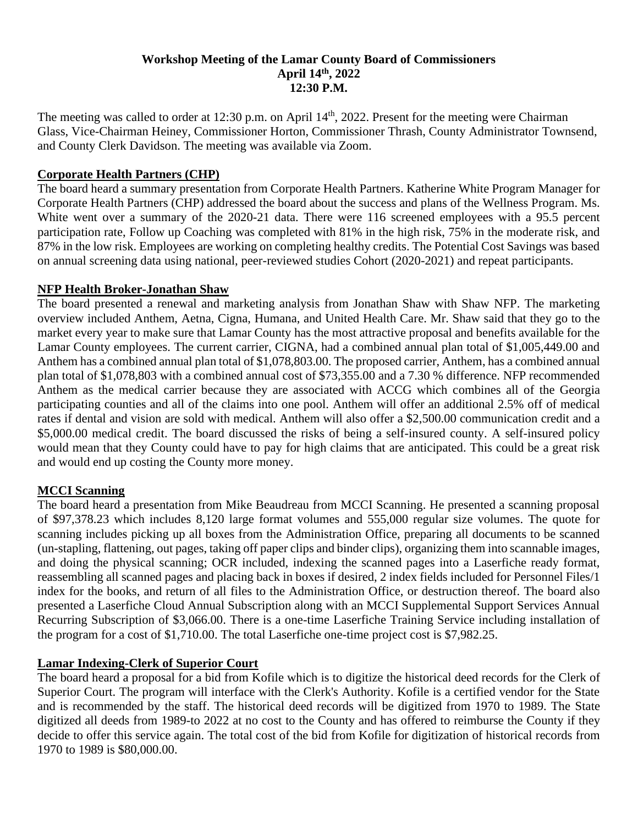### **Workshop Meeting of the Lamar County Board of Commissioners April 14th, 2022 12:30 P.M.**

The meeting was called to order at 12:30 p.m. on April 14<sup>th</sup>, 2022. Present for the meeting were Chairman Glass, Vice-Chairman Heiney, Commissioner Horton, Commissioner Thrash, County Administrator Townsend, and County Clerk Davidson. The meeting was available via Zoom.

### **Corporate Health Partners (CHP)**

The board heard a summary presentation from Corporate Health Partners. Katherine White Program Manager for Corporate Health Partners (CHP) addressed the board about the success and plans of the Wellness Program. Ms. White went over a summary of the 2020-21 data. There were 116 screened employees with a 95.5 percent participation rate, Follow up Coaching was completed with 81% in the high risk, 75% in the moderate risk, and 87% in the low risk. Employees are working on completing healthy credits. The Potential Cost Savings was based on annual screening data using national, peer-reviewed studies Cohort (2020-2021) and repeat participants.

### **NFP Health Broker-Jonathan Shaw**

The board presented a renewal and marketing analysis from Jonathan Shaw with Shaw NFP. The marketing overview included Anthem, Aetna, Cigna, Humana, and United Health Care. Mr. Shaw said that they go to the market every year to make sure that Lamar County has the most attractive proposal and benefits available for the Lamar County employees. The current carrier, CIGNA, had a combined annual plan total of \$1,005,449.00 and Anthem has a combined annual plan total of \$1,078,803.00. The proposed carrier, Anthem, has a combined annual plan total of \$1,078,803 with a combined annual cost of \$73,355.00 and a 7.30 % difference. NFP recommended Anthem as the medical carrier because they are associated with ACCG which combines all of the Georgia participating counties and all of the claims into one pool. Anthem will offer an additional 2.5% off of medical rates if dental and vision are sold with medical. Anthem will also offer a \$2,500.00 communication credit and a \$5,000.00 medical credit. The board discussed the risks of being a self-insured county. A self-insured policy would mean that they County could have to pay for high claims that are anticipated. This could be a great risk and would end up costing the County more money.

# **MCCI Scanning**

The board heard a presentation from Mike Beaudreau from MCCI Scanning. He presented a scanning proposal of \$97,378.23 which includes 8,120 large format volumes and 555,000 regular size volumes. The quote for scanning includes picking up all boxes from the Administration Office, preparing all documents to be scanned (un-stapling, flattening, out pages, taking off paper clips and binder clips), organizing them into scannable images, and doing the physical scanning; OCR included, indexing the scanned pages into a Laserfiche ready format, reassembling all scanned pages and placing back in boxes if desired, 2 index fields included for Personnel Files/1 index for the books, and return of all files to the Administration Office, or destruction thereof. The board also presented a Laserfiche Cloud Annual Subscription along with an MCCI Supplemental Support Services Annual Recurring Subscription of \$3,066.00. There is a one-time Laserfiche Training Service including installation of the program for a cost of \$1,710.00. The total Laserfiche one-time project cost is \$7,982.25.

### **Lamar Indexing-Clerk of Superior Court**

The board heard a proposal for a bid from Kofile which is to digitize the historical deed records for the Clerk of Superior Court. The program will interface with the Clerk's Authority. Kofile is a certified vendor for the State and is recommended by the staff. The historical deed records will be digitized from 1970 to 1989. The State digitized all deeds from 1989-to 2022 at no cost to the County and has offered to reimburse the County if they decide to offer this service again. The total cost of the bid from Kofile for digitization of historical records from 1970 to 1989 is \$80,000.00.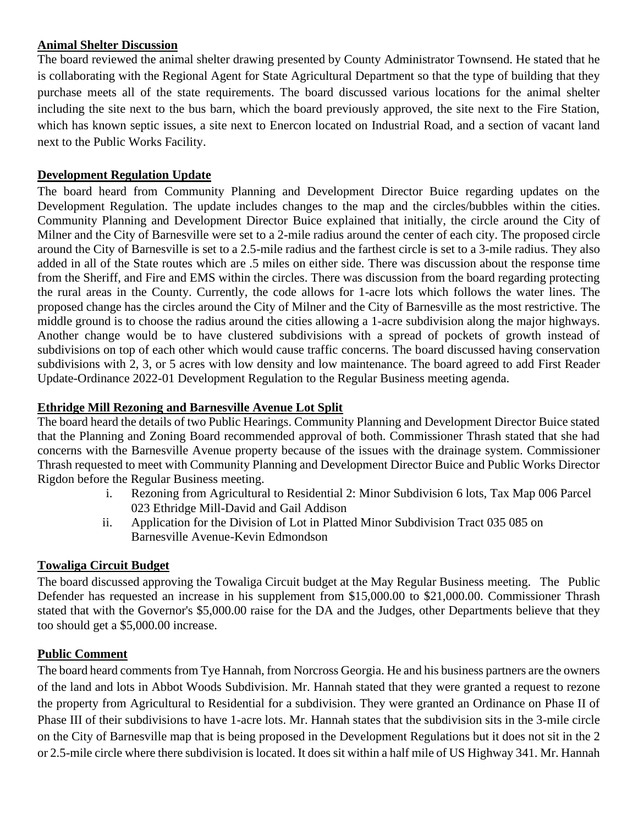### **Animal Shelter Discussion**

The board reviewed the animal shelter drawing presented by County Administrator Townsend. He stated that he is collaborating with the Regional Agent for State Agricultural Department so that the type of building that they purchase meets all of the state requirements. The board discussed various locations for the animal shelter including the site next to the bus barn, which the board previously approved, the site next to the Fire Station, which has known septic issues, a site next to Enercon located on Industrial Road, and a section of vacant land next to the Public Works Facility.

# **Development Regulation Update**

The board heard from Community Planning and Development Director Buice regarding updates on the Development Regulation. The update includes changes to the map and the circles/bubbles within the cities. Community Planning and Development Director Buice explained that initially, the circle around the City of Milner and the City of Barnesville were set to a 2-mile radius around the center of each city. The proposed circle around the City of Barnesville is set to a 2.5-mile radius and the farthest circle is set to a 3-mile radius. They also added in all of the State routes which are .5 miles on either side. There was discussion about the response time from the Sheriff, and Fire and EMS within the circles. There was discussion from the board regarding protecting the rural areas in the County. Currently, the code allows for 1-acre lots which follows the water lines. The proposed change has the circles around the City of Milner and the City of Barnesville as the most restrictive. The middle ground is to choose the radius around the cities allowing a 1-acre subdivision along the major highways. Another change would be to have clustered subdivisions with a spread of pockets of growth instead of subdivisions on top of each other which would cause traffic concerns. The board discussed having conservation subdivisions with 2, 3, or 5 acres with low density and low maintenance. The board agreed to add First Reader Update-Ordinance 2022-01 Development Regulation to the Regular Business meeting agenda.

# **Ethridge Mill Rezoning and Barnesville Avenue Lot Split**

The board heard the details of two Public Hearings. Community Planning and Development Director Buice stated that the Planning and Zoning Board recommended approval of both. Commissioner Thrash stated that she had concerns with the Barnesville Avenue property because of the issues with the drainage system. Commissioner Thrash requested to meet with Community Planning and Development Director Buice and Public Works Director Rigdon before the Regular Business meeting.

- i. Rezoning from Agricultural to Residential 2: Minor Subdivision 6 lots, Tax Map 006 Parcel 023 Ethridge Mill-David and Gail Addison
- ii. Application for the Division of Lot in Platted Minor Subdivision Tract 035 085 on Barnesville Avenue-Kevin Edmondson

# **Towaliga Circuit Budget**

The board discussed approving the Towaliga Circuit budget at the May Regular Business meeting. The Public Defender has requested an increase in his supplement from \$15,000.00 to \$21,000.00. Commissioner Thrash stated that with the Governor's \$5,000.00 raise for the DA and the Judges, other Departments believe that they too should get a \$5,000.00 increase.

### **Public Comment**

The board heard comments from Tye Hannah, from Norcross Georgia. He and his business partners are the owners of the land and lots in Abbot Woods Subdivision. Mr. Hannah stated that they were granted a request to rezone the property from Agricultural to Residential for a subdivision. They were granted an Ordinance on Phase II of Phase III of their subdivisions to have 1-acre lots. Mr. Hannah states that the subdivision sits in the 3-mile circle on the City of Barnesville map that is being proposed in the Development Regulations but it does not sit in the 2 or 2.5-mile circle where there subdivision is located. It does sit within a half mile of US Highway 341. Mr. Hannah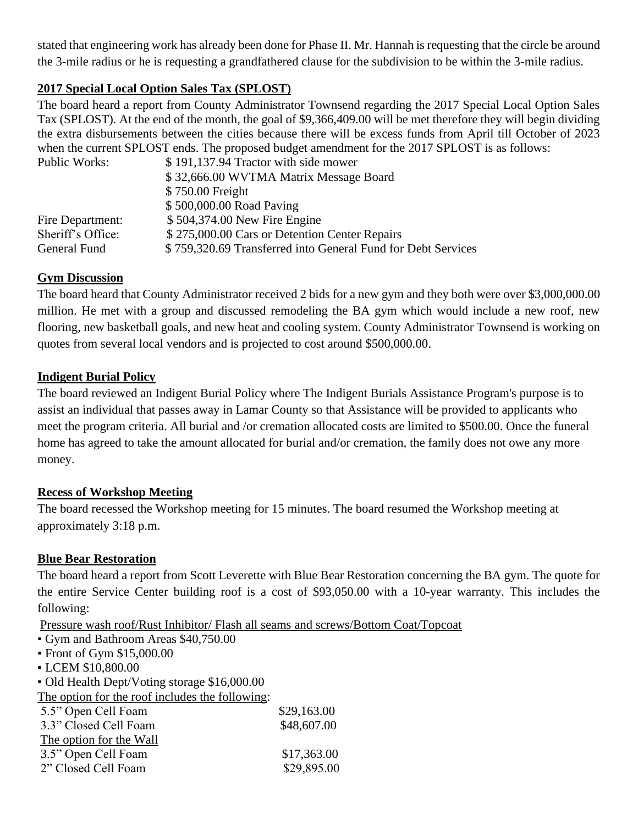stated that engineering work has already been done for Phase II. Mr. Hannah is requesting that the circle be around the 3-mile radius or he is requesting a grandfathered clause for the subdivision to be within the 3-mile radius.

# **2017 Special Local Option Sales Tax (SPLOST)**

The board heard a report from County Administrator Townsend regarding the 2017 Special Local Option Sales Tax (SPLOST). At the end of the month, the goal of \$9,366,409.00 will be met therefore they will begin dividing the extra disbursements between the cities because there will be excess funds from April till October of 2023 when the current SPLOST ends. The proposed budget amendment for the 2017 SPLOST is as follows:

| Public Works:     | \$191,137.94 Tractor with side mower                         |
|-------------------|--------------------------------------------------------------|
|                   | \$32,666.00 WVTMA Matrix Message Board                       |
|                   | \$750.00 Freight                                             |
|                   | \$500,000.00 Road Paving                                     |
| Fire Department:  | \$504,374.00 New Fire Engine                                 |
| Sheriff's Office: | \$275,000.00 Cars or Detention Center Repairs                |
| General Fund      | \$759,320.69 Transferred into General Fund for Debt Services |

#### **Gym Discussion**

The board heard that County Administrator received 2 bids for a new gym and they both were over \$3,000,000.00 million. He met with a group and discussed remodeling the BA gym which would include a new roof, new flooring, new basketball goals, and new heat and cooling system. County Administrator Townsend is working on quotes from several local vendors and is projected to cost around \$500,000.00.

#### **Indigent Burial Policy**

The board reviewed an Indigent Burial Policy where The Indigent Burials Assistance Program's purpose is to assist an individual that passes away in Lamar County so that Assistance will be provided to applicants who meet the program criteria. All burial and /or cremation allocated costs are limited to \$500.00. Once the funeral home has agreed to take the amount allocated for burial and/or cremation, the family does not owe any more money.

### **Recess of Workshop Meeting**

The board recessed the Workshop meeting for 15 minutes. The board resumed the Workshop meeting at approximately 3:18 p.m.

### **Blue Bear Restoration**

The board heard a report from Scott Leverette with Blue Bear Restoration concerning the BA gym. The quote for the entire Service Center building roof is a cost of \$93,050.00 with a 10-year warranty. This includes the following:

Pressure wash roof/Rust Inhibitor/ Flash all seams and screws/Bottom Coat/Topcoat

- Gym and Bathroom Areas \$40,750.00
- Front of Gym \$15,000.00
- LCEM \$10,800.00

▪ Old Health Dept/Voting storage \$16,000.00

The option for the roof includes the following:

| 5.5" Open Cell Foam     | \$29,163.00 |
|-------------------------|-------------|
| 3.3" Closed Cell Foam   | \$48,607.00 |
| The option for the Wall |             |
| 3.5" Open Cell Foam     | \$17,363.00 |
| 2" Closed Cell Foam     | \$29,895.00 |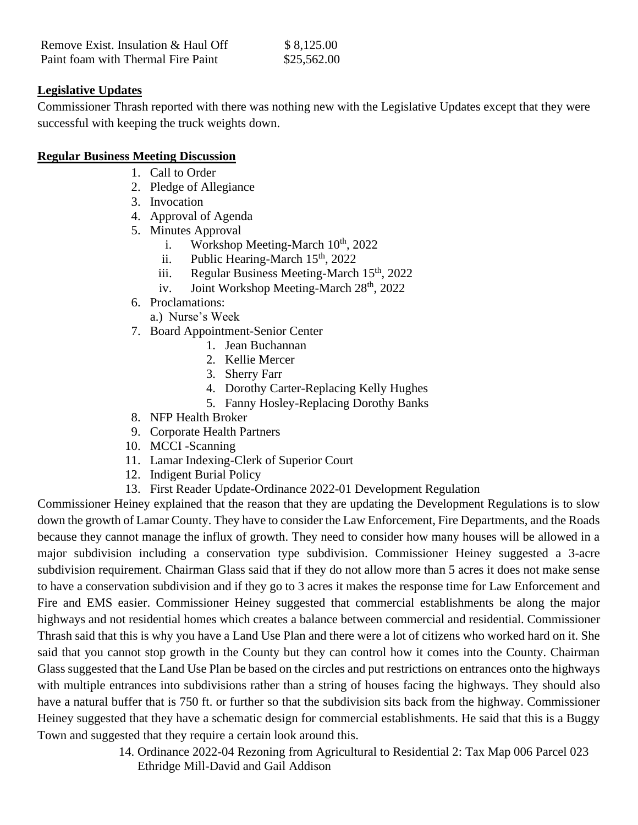| Remove Exist. Insulation & Haul Off | \$8,125.00  |
|-------------------------------------|-------------|
| Paint foam with Thermal Fire Paint  | \$25,562.00 |

#### **Legislative Updates**

Commissioner Thrash reported with there was nothing new with the Legislative Updates except that they were successful with keeping the truck weights down.

#### **Regular Business Meeting Discussion**

- 1. Call to Order
- 2. Pledge of Allegiance
- 3. Invocation
- 4. Approval of Agenda
- 5. Minutes Approval
	- i. Workshop Meeting-March  $10^{th}$ ,  $2022$
	- ii. Public Hearing-March  $15<sup>th</sup>$ , 2022
	- iii. Regular Business Meeting-March  $15<sup>th</sup>$ , 2022
	- iv. Joint Workshop Meeting-March  $28<sup>th</sup>$ , 2022
- 6. Proclamations:
	- a.) Nurse's Week
- 7. Board Appointment-Senior Center
	- 1. Jean Buchannan
	- 2. Kellie Mercer
	- 3. Sherry Farr
	- 4. Dorothy Carter-Replacing Kelly Hughes
	- 5. Fanny Hosley-Replacing Dorothy Banks
- 8. NFP Health Broker
- 9. Corporate Health Partners
- 10. MCCI -Scanning
- 11. Lamar Indexing-Clerk of Superior Court
- 12. Indigent Burial Policy
- 13. First Reader Update-Ordinance 2022-01 Development Regulation

Commissioner Heiney explained that the reason that they are updating the Development Regulations is to slow down the growth of Lamar County. They have to consider the Law Enforcement, Fire Departments, and the Roads because they cannot manage the influx of growth. They need to consider how many houses will be allowed in a major subdivision including a conservation type subdivision. Commissioner Heiney suggested a 3-acre subdivision requirement. Chairman Glass said that if they do not allow more than 5 acres it does not make sense to have a conservation subdivision and if they go to 3 acres it makes the response time for Law Enforcement and Fire and EMS easier. Commissioner Heiney suggested that commercial establishments be along the major highways and not residential homes which creates a balance between commercial and residential. Commissioner Thrash said that this is why you have a Land Use Plan and there were a lot of citizens who worked hard on it. She said that you cannot stop growth in the County but they can control how it comes into the County. Chairman Glass suggested that the Land Use Plan be based on the circles and put restrictions on entrances onto the highways with multiple entrances into subdivisions rather than a string of houses facing the highways. They should also have a natural buffer that is 750 ft. or further so that the subdivision sits back from the highway. Commissioner Heiney suggested that they have a schematic design for commercial establishments. He said that this is a Buggy Town and suggested that they require a certain look around this.

> 14. Ordinance 2022-04 Rezoning from Agricultural to Residential 2: Tax Map 006 Parcel 023 Ethridge Mill-David and Gail Addison